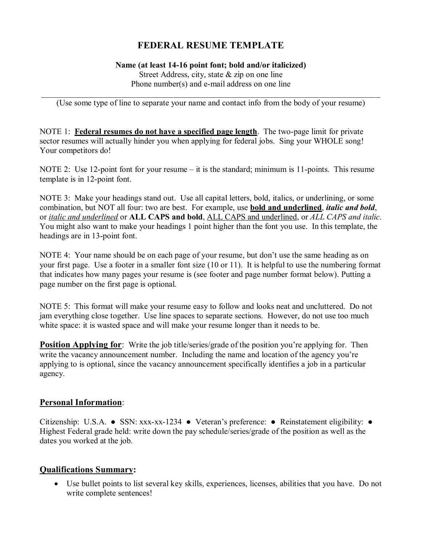# **FEDERAL RESUME TEMPLATE**

#### **Name (at least 14-16 point font; bold and/or italicized)** Street Address, city, state & zip on one line Phone number(s) and e-mail address on one line

\_\_\_\_\_\_\_\_\_\_\_\_\_\_\_\_\_\_\_\_\_\_\_\_\_\_\_\_\_\_\_\_\_\_\_\_\_\_\_\_\_\_\_\_\_\_\_\_\_\_\_\_\_\_\_\_\_\_\_\_\_\_\_\_\_\_\_\_\_\_\_\_\_\_\_\_\_\_\_\_\_\_ (Use some type of line to separate your name and contact info from the body of your resume)

NOTE 1: **Federal resumes do not have a specified page length**. The two-page limit for private sector resumes will actually hinder you when applying for federal jobs. Sing your WHOLE song! Your competitors do!

NOTE 2: Use 12-point font for your resume – it is the standard; minimum is 11-points. This resume template is in 12-point font.

NOTE 3: Make your headings stand out. Use all capital letters, bold, italics, or underlining, or some combination, but NOT all four: two are best. For example, use **bold and underlined**, *italic and bold*, or *italic and underlined* or **ALL CAPS and bold**, ALL CAPS and underlined, or *ALL CAPS and italic*. You might also want to make your headings 1 point higher than the font you use. In this template, the headings are in 13-point font.

NOTE 4: Your name should be on each page of your resume, but don't use the same heading as on your first page. Use a footer in a smaller font size (10 or 11). It is helpful to use the numbering format that indicates how many pages your resume is (see footer and page number format below). Putting a page number on the first page is optional.

NOTE 5: This format will make your resume easy to follow and looks neat and uncluttered. Do not jam everything close together. Use line spaces to separate sections. However, do not use too much white space: it is wasted space and will make your resume longer than it needs to be.

**Position Applying for**: Write the job title/series/grade of the position you're applying for. Then write the vacancy announcement number. Including the name and location of the agency you're applying to is optional, since the vacancy announcement specifically identifies a job in a particular agency.

#### **Personal Information**:

Citizenship: U.S.A. ● SSN: xxx-xx-1234 ● Veteran's preference: ● Reinstatement eligibility: ● Highest Federal grade held: write down the pay schedule/series/grade of the position as well as the dates you worked at the job.

#### **Qualifications Summary:**

 Use bullet points to list several key skills, experiences, licenses, abilities that you have. Do not write complete sentences!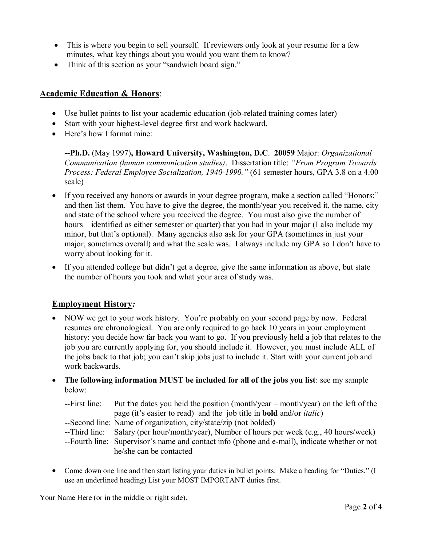- This is where you begin to sell yourself. If reviewers only look at your resume for a few minutes, what key things about you would you want them to know?
- Think of this section as your "sandwich board sign."

### **Academic Education & Honors**:

- Use bullet points to list your academic education (job-related training comes later)
- Start with your highest-level degree first and work backward.
- Here's how I format mine:

**--Ph.D.** (May 1997)**, Howard University, Washington, D.C**. **20059** Major: *Organizational Communication (human communication studies)*. Dissertation title: *"From Program Towards Process: Federal Employee Socialization, 1940-1990."* (61 semester hours, GPA 3.8 on a 4.00 scale)

- If you received any honors or awards in your degree program, make a section called "Honors:" and then list them. You have to give the degree, the month/year you received it, the name, city and state of the school where you received the degree. You must also give the number of hours—identified as either semester or quarter) that you had in your major (I also include my minor, but that's optional). Many agencies also ask for your GPA (sometimes in just your major, sometimes overall) and what the scale was. I always include my GPA so I don't have to worry about looking for it.
- If you attended college but didn't get a degree, give the same information as above, but state the number of hours you took and what your area of study was.

# **Employment History***:*

- NOW we get to your work history. You're probably on your second page by now. Federal resumes are chronological. You are only required to go back 10 years in your employment history: you decide how far back you want to go. If you previously held a job that relates to the job you are currently applying for, you should include it. However, you must include ALL of the jobs back to that job; you can't skip jobs just to include it. Start with your current job and work backwards.
- **The following information MUST be included for all of the jobs you list**: see my sample below:
	- --First line: Put the dates you held the position (month/year month/year) on the left of the page (it's easier to read) and the job title in **bold** and/or *italic*)
	- --Second line: Name of organization, city/state/zip (not bolded)
	- --Third line: Salary (per hour/month/year), Number of hours per week (e.g., 40 hours/week)
	- --Fourth line: Supervisor's name and contact info (phone and e-mail), indicate whether or not he/she can be contacted
- Come down one line and then start listing your duties in bullet points. Make a heading for "Duties." (I use an underlined heading) List your MOST IMPORTANT duties first.

Your Name Here (or in the middle or right side).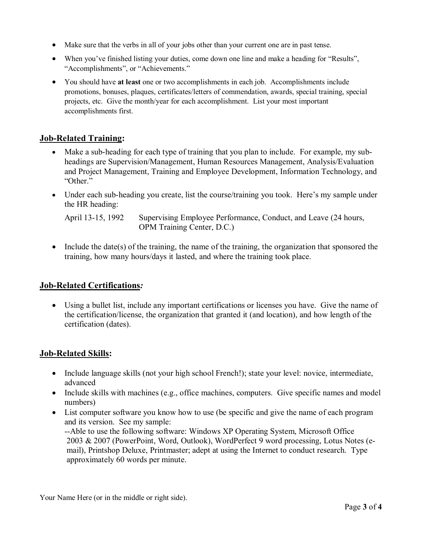- Make sure that the verbs in all of your jobs other than your current one are in past tense.
- When you've finished listing your duties, come down one line and make a heading for "Results", "Accomplishments", or "Achievements."
- You should have **at least** one or two accomplishments in each job. Accomplishments include promotions, bonuses, plaques, certificates/letters of commendation, awards, special training, special projects, etc. Give the month/year for each accomplishment. List your most important accomplishments first.

# **Job-Related Training:**

- Make a sub-heading for each type of training that you plan to include. For example, my subheadings are Supervision/Management, Human Resources Management, Analysis/Evaluation and Project Management, Training and Employee Development, Information Technology, and "Other."
- Under each sub-heading you create, list the course/training you took. Here's my sample under the HR heading:

April 13-15, 1992 Supervising Employee Performance, Conduct, and Leave (24 hours, OPM Training Center, D.C.)

• Include the date(s) of the training, the name of the training, the organization that sponsored the training, how many hours/days it lasted, and where the training took place.

# **Job-Related Certifications***:*

 Using a bullet list, include any important certifications or licenses you have. Give the name of the certification/license, the organization that granted it (and location), and how length of the certification (dates).

# **Job-Related Skills:**

- Include language skills (not your high school French!); state your level: novice, intermediate, advanced
- Include skills with machines (e.g., office machines, computers. Give specific names and model numbers)
- List computer software you know how to use (be specific and give the name of each program and its version. See my sample: --Able to use the following software: Windows XP Operating System, Microsoft Office 2003 & 2007 (PowerPoint, Word, Outlook), WordPerfect 9 word processing, Lotus Notes (email), Printshop Deluxe, Printmaster; adept at using the Internet to conduct research. Type approximately 60 words per minute.